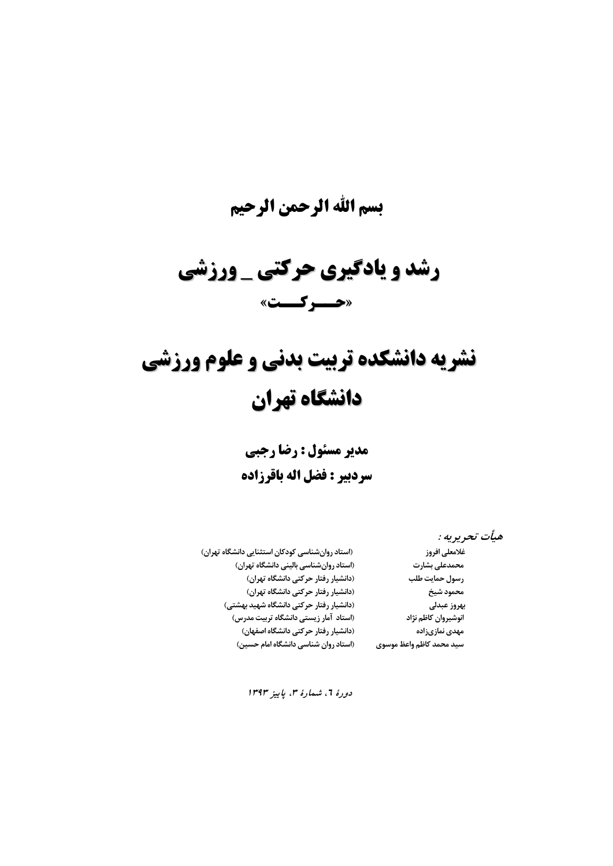# **بسم االله الرحمن الرحيم**

# **رشد و يادگيري يادگيري حركتي \_ ورزشي «حــركــت »**

# **نشريه دانشكده دانشكده تربيت بدني و علوم ورزشي دانشگاه دانشگاه تهران**

**مدير مسئول : رضا رجبي سردبير : فضل اله باقرزاده** 

**هيأت تحريريه :** 

**رسولحمايت طلب (دانشياررفتار حركتيدانشگاهتهران) محمودشيخ (دانشياررفتار حركتيدانشگاهتهران) سيد محمد كاظم واعظ موسوي (استاد روانشناسيدانشگاهامام حسين)** 

**غلامعليافروز ( استاد روانشناسيكودكاناستثناييدانشگاهتهران) محمدعليبشارت (استاد روانشناسيبالينيدانشگاهتهران) بهروز عبدلي (دانشياررفتار حركتيدانشگاهشهيد بهشتي) انوشيروانكاظم نژاد (استاد آمارزيستيدانشگاهتربيت مدرس) مهدي نمازيزاده (دانشياررفتار حركتيدانشگاهاصفهان)** 

**دورة ،<sup>6</sup> شمارة ،<sup>3</sup> پاييز <sup>1393</sup>**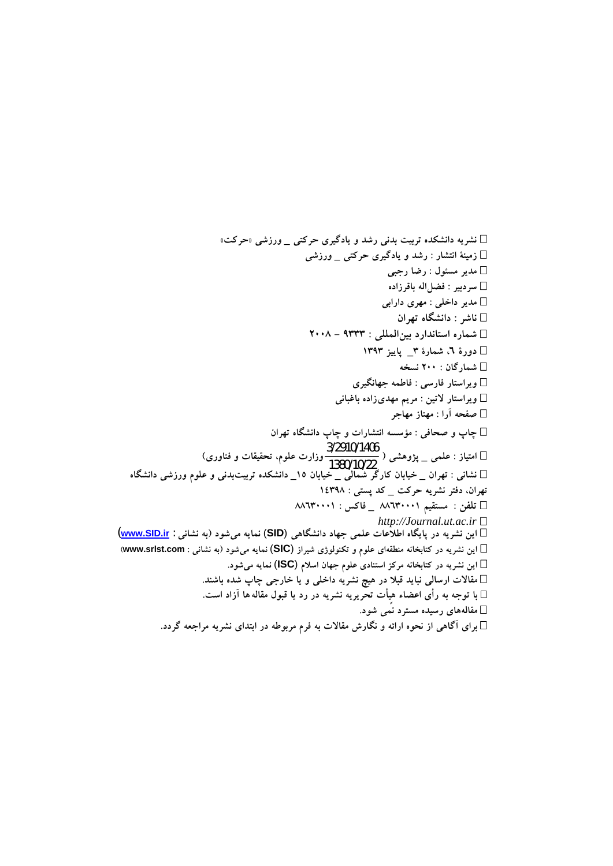**نشريه دانشكده تربيت بدني رشد و يادگيري حركتي \_ ورزشي «حركت» زمينة انتشار : رشد و يادگيري حركتي \_ ورزشي مدير مسئول : رضا رجبي سردبير : فضلاله باقرزاده مدير داخلي : مهري دارابي ناشر : دانشگاه تهران شماره استاندارد بينالمللي : 9333 - 2008 دورة ،6 شمارة 3\_ پاييز 1393 شمارگان : 200 نسخه ويراستار فارسي : فاطمه جهانگيري ويراستار لاتين : مريم مهديزاده باغباني صفحه آرا : مهناز مهاجر چاپ و صحافي : مؤسسه انتشارات و چاپ دانشگاه تهران امتياز : علمي \_ پژوهشي (** 1380/10/22 **وزارت علوم، تحقيقات <sup>و</sup> فناوري)** 3/2910/1406 **نشاني : تهران \_ خيابان كارگر شمالي \_ خيابان 15\_ دانشكده تربيتبدني و علوم ورزشي دانشگاه تهران، دفتر نشريه حركت \_ كد پستي : 14398 تلفن : مستقيم 88630001 \_ فاكس : 88630001**  *http://Journal.ut.ac.ir* **اين نشريه در پايگاه اطلاعات علمي جهاد دانشگاهي** (**SID** (**نمايه ميشود (به نشاني** : **ir.SID.www**( **اين نشريه در كتابخانه منطقهاي علوم و تكنولوژي شيراز** (**SIC** (**نمايه ميشود (به نشاني : com.srlst.www ( اين نشريه در كتابخانه مركز استنادي علوم جهان اسلام** (**ISC** (**نمايه ميشود. در هيچ نشريه داخلي و يا خارجي چاپ شده باشند ً مقالات ارسالي نبايد قبلا . با توجه به رأي اعضاء هيأت تحريريه نشريه در رد يا قبول مقاله ها آزاد است. مقالههاي رسيده مسترد نمي شود. براي آگاهي از نحوه ارائه و نگارش مقالات به فرم مربوطه در ابتداي نشريه مراجعه گردد.**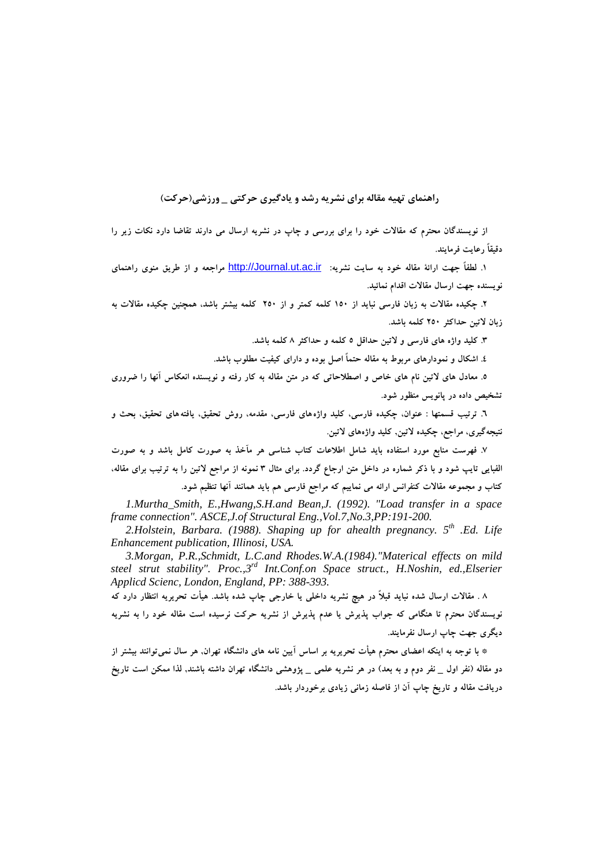# **راهنماي تهيه مقاله براي نشريه رشد و يادگيري حركتي \_ ورزشي(حركت )**

از نویسندگان محترم که مقالات خود را برای بررسی و چاپ در نشریه ارسال می دارند تقاضا دارد نکات زیر را **دقيقاً رعايت فرمايند.** 

۱. لطفاً جهت ارائهٔ مقاله خود به سایت نشریه: http://Journal.ut.ac.ir مراجعه و از طریق منوی راهنمای **نويسنده جهت ارسال مقالات اقدام نمائيد.** 

۲. چکیده مقالات به زبان فارسی نباید از ۱۵۰ کلمه کمتر و از ۲۵۰ کلمه بیشتر باشد، همچنین چکیده مقالات به **زبان لاتين حداكثر 250 كلمه باشد.** 

**.3 كليد واژه هاي فارسي و لاتين حداقل 5 كلمه و حداكثر 8 كلمه باشد.** 

 **4. اشكال و نمودارهاي مربوط به مقاله حتماً اصل بوده و داراي كيفيت مطلوب باشد.** 

٥. معادل های لاتین نام های خاص و اصطلاحاتی که در متن مقاله به کار رفته و نویسنده انعکاس آنها را ضروری **تشخيص داده در پانويس منظور شود.** 

 **6. ترتيب قسمتها : عنوان، چكيده فارسي، كليد واژههاي فارسي، مقدمه، روش تحقيق، يافتههاي تحقيق، بحث و نتيجهگيري، مراجع، چكيده لاتين, كليد واژههاي لاتين.** 

۷. فهرست منابع مورد استفاده باید شامل اطلاعات کتاب شناسی هر مآخذ به صورت کامل باشد و به صورت الفبایی تایپ شود و با ذکر شماره در داخل متن ارجاع گردد. برای مثال ۳ نمونه از مراجع لاتین را به ترتیب برای مقاله، **كتاب و مجموعه مقالات كنفرانس ارائه مي نماييم كه مراجع فارسي هم بايد همانند آنها تنظيم شود.** 

*1.Murtha\_Smith, E.,Hwang,S.H.and Bean,J. (1992). "Load transfer in a space frame connection". ASCE,J.of Structural Eng.,Vol.7,No.3,PP:191-200.* 

2.Holstein, Barbara. (1988). Shaping up for ahealth pregnancy. 5<sup>th</sup> .Ed. Life *Enhancement publication, Illinosi, USA.* 

*3.Morgan, P.R.,Schmidt, L.C.and Rhodes.W.A.(1984)."Materical effects on mild steel strut stability". Proc.,3rd Int.Conf.on Space struct., H.Noshin, ed.,Elserier Applicd Scienc, London, England, PP: 388-393.* 

۸ . مقالات ارسال شده نباید قبلاً در هیچ نشریه داخلی یا خارجی چاپ شده باشد. هیأت تحریریه انتظار دارد که نویسندگان محترم تا هنگامی که جواب پذیرش یا عدم پذیرش از نشریه حرکت نرسیده است مقاله خود را به نشریه **ديگري جهت چاپ ارسال نفرمايند.** 

\* با توجه به اینکه اعضای محترم هیأت تحریریه بر اساس آیین نامه های دانشگاه تهران, هر سال نمی توانند بیشتر از دو مقاله (نفر اول \_ نفر دوم و به بعد) در هر نشریه علمی \_ پژوهشی دانشگاه تهران داشته باشند, لذا ممکن است تاریخ **دريافت مقاله و تاريخ چاپ آن از فاصله زماني زيادي برخوردار باشد.**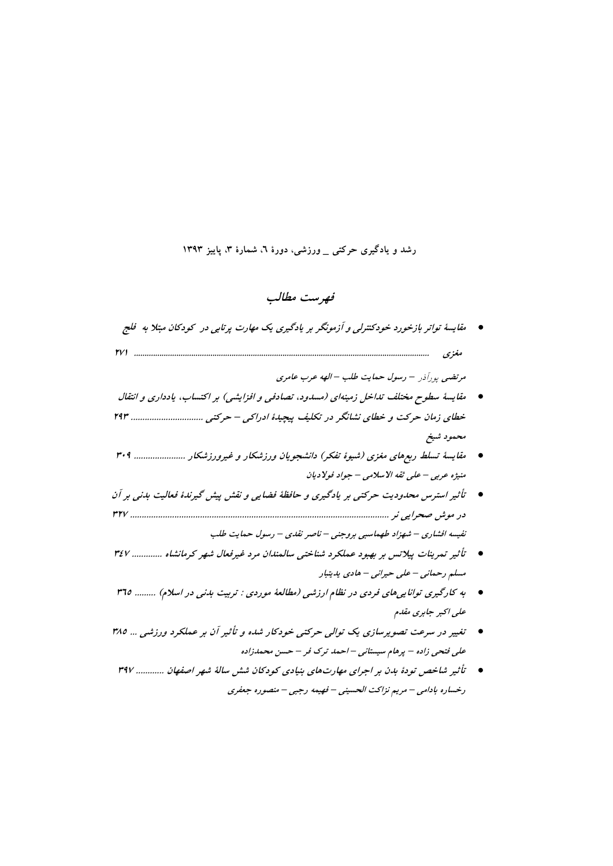# **رشد و يادگيري حركتي \_ ورزشي، دورة ،6 شمارة ،3 پاييز 1393**

# **فهرست مطالب**

 **مقايسة تواتر بازخورد خودكنترلي <sup>و</sup> آزمونگر بر يادگيري يك مهارت پرتابي در كودكان مبتلا به فلج مغزي 271 ...........................................................................................................................................**

**مرتضي – رسول حمايت طلب – الهه عرب عامري**  پورآذر

- **مقايسة سطوح مختلف تداخل زمينهاي (مسدود، تصادفي <sup>و</sup> افزايشي) بر اكتساب، يادداري <sup>و</sup> انتقال خطاي زمان حركت <sup>و</sup> خطاي نشانگر در تكليف پيچيدة ادراكي – حركتي ............................... 293 محمود شيخ**
- **مقايسة تسلط ربع هاي مغزي (شيوة تفكر) دانشجويان ورزشكار <sup>و</sup> غيرورزشكار ...................... 309 منيژه عربي – علي ثقه الاسلامي – جواد فولاديان**
- **تأثير استرس محدوديت حركتي بر يادگيري <sup>و</sup> حافظة فضايي <sup>و</sup> نقش پيش گيرندة فعاليت بدني بر آن در موش صحرايي نر ............................................................................................................... 327 نفيسه افشاري – شهزاد طهماسبي بروجني – ناصر نقدي – رسول حمايت طلب**
- **تأثير تمرينات پيلاتس بر بهبود عملكرد شناختي سالمندان مرد غيرفعال شهر كرمانشاه . ............ 347 مسلم رحماني – علي حيراني – هادي يديتبار**
- **به كارگيري تواناييهاي فردي در نظام ارزشي (مطالعة موردي : تربيت بدني در اسلام . ) ........ 365 علي اكبر جابري مقدم**
- **تغيير در سرعت تصويرسازي يك توالي حركتي خودكار شده <sup>و</sup> تأثير آن بر عملكرد ورزشي ... 385 علي فتحي زاده – پرهام سيستاني – احمد ترك فر – حسن محمدزاده**
- **تأثير شاخص تودة بدن بر اجراي مهارتهاي بنيادي كودكان شش سالة شهر اصفهان . ........... 397 رخساره بادامي – مريم نزاكت الحسيني – فهيمه رجبي – منصوره جعفري**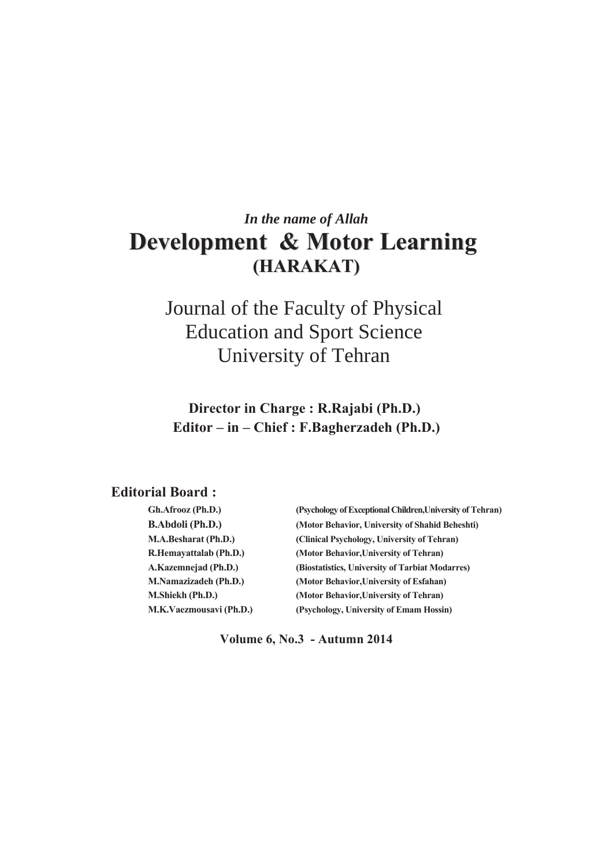# *In the name of Allah*  **Development & Motor Learning (HARAKAT)**

Journal of the Faculty of Physical Education and Sport Science University of Tehran

**Director in Charge: R.Rajabi (Ph.D.)** Editor – in – Chief : F.Bagherzadeh (Ph.D.)

# **Editorial Board:**

| Gh.Afrooz (Ph.D.)            | (Psychology of Exceptional Children, University of Tehran) |
|------------------------------|------------------------------------------------------------|
| <b>B.Abdoli</b> (Ph.D.)      | (Motor Behavior, University of Shahid Beheshti)            |
| M.A.Besharat (Ph.D.)         | (Clinical Psychology, University of Tehran)                |
| R.Hemayattalab (Ph.D.)       | (Motor Behavior, University of Tehran)                     |
| A.Kazemnejad (Ph.D.)         | (Biostatistics, University of Tarbiat Modarres)            |
| <b>M.Namazizadeh (Ph.D.)</b> | (Motor Behavior, University of Esfahan)                    |
| M.Shiekh (Ph.D.)             | (Motor Behavior, University of Tehran)                     |
| M.K.Vaezmousavi (Ph.D.)      | (Psychology, University of Emam Hossin)                    |

**Volume 6, No.3 - Autumn 2014**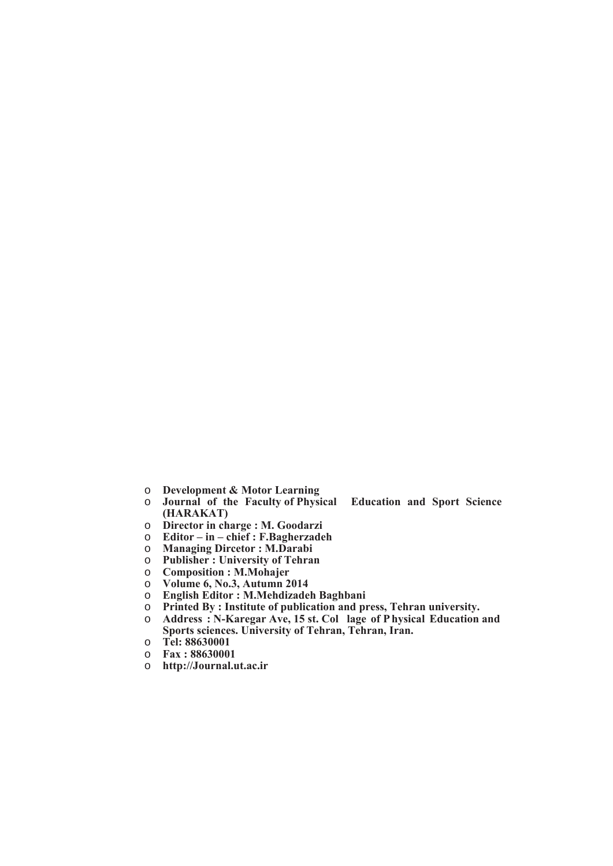- **O Development & Motor Learning**<br> **O Journal of the Faculty of Physi**
- **Journal of the Faculty of Physical Education and Sport Science (HARAKAT)**
- o **Director in charge : M. Goodarzi**
- **Editor in chief : F.Bagherzadeh**<br>○ Managing Dircetor : M.Darabi
- o **Managing Dircetor: M.Darabi**<br> **0** Publisher: University of Tehra
- **Publisher: University of Tehran**
- $\circ$  **Composition : M. Mohajer**
- o **Volume 6, No.3, Autumn 2014**
- $\circ$  **English Editor: M. Mehdizadeh Baghbani**
- o **Printed By**: Institute of publication and press, Tehran university.
- o **Address : N-Karegar Ave, 15 st. Col lage of Physical Education and** Sports sciences. University of Tehran, Tehran, Iran.
- o **Tel: 88630001**
- o **Fax: 88630001**
- o http://Journal.ut.ac.ir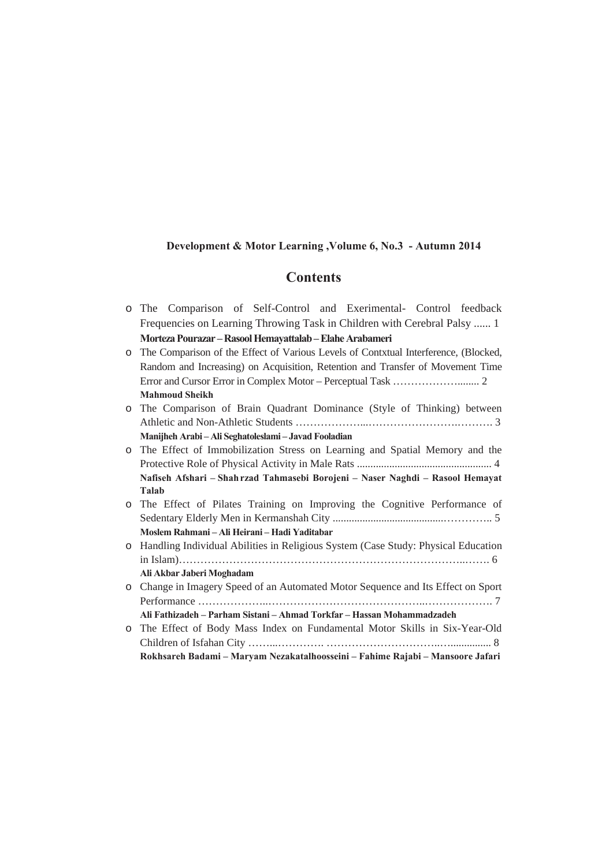#### Development & Motor Learning, Volume 6, No.3 - Autumn 2014

# **Contents**

- o The Comparison of Self-Control and Exerimental- Control feedback Frequencies on Learning Throwing Task in Children with Cerebral Palsy ...... 1 **Morteza Pourazar – Rasool Hemavattalab – Elahe Arabameri**
- o The Comparison of the Effect of Various Levels of Contxtual Interference, (Blocked, Random and Increasing) on Acquisition, Retention and Transfer of Movement Time Error and Cursor Error in Complex Motor – Perceptual Task ………………........ 2 **Mahmoud Sheikh**

o The Comparison of Brain Quadrant Dominance (Style of Thinking) between Athletic and Non-Athletic Students ………………...…………………….………. 3 **Manijheh Arabi – Ali Seghatoleslami – Javad Fooladian** 

- o The Effect of Immobilization Stress on Learning and Spatial Memory and the Protective Role of Physical Activity in Male Rats .................................................. 4 Nafiseh Afshari - Shahrzad Tahmasebi Borojeni - Naser Naghdi - Rasool Hemayat **Talab**
- o The Effect of Pilates Training on Improving the Cognitive Performance of Sedentary Elderly Men in Kermanshah City .........................................………….. 5 **Moslem Rahmani - Ali Heirani - Hadi Yaditabar**
- o Handling Individual Abilities in Religious System (Case Study: Physical Education in Islam)……………………………………………………………………..……. 6 **Ali Akbar Jaberi Moghadam**
- o Change in Imagery Speed of an Automated Motor Sequence and Its Effect on Sport Performance ………………..……………………………………..………………. 7 Ali Fathizadeh – Parham Sistani – Ahmad Torkfar – Hassan Mohammadzadeh
- o The Effect of Body Mass Index on Fundamental Motor Skills in Six-Year-Old Children of Isfahan City ……...…………. …………………………..…............... 8 Rokhsareh Badami – Maryam Nezakatalhoosseini – Fahime Rajabi – Mansoore Jafari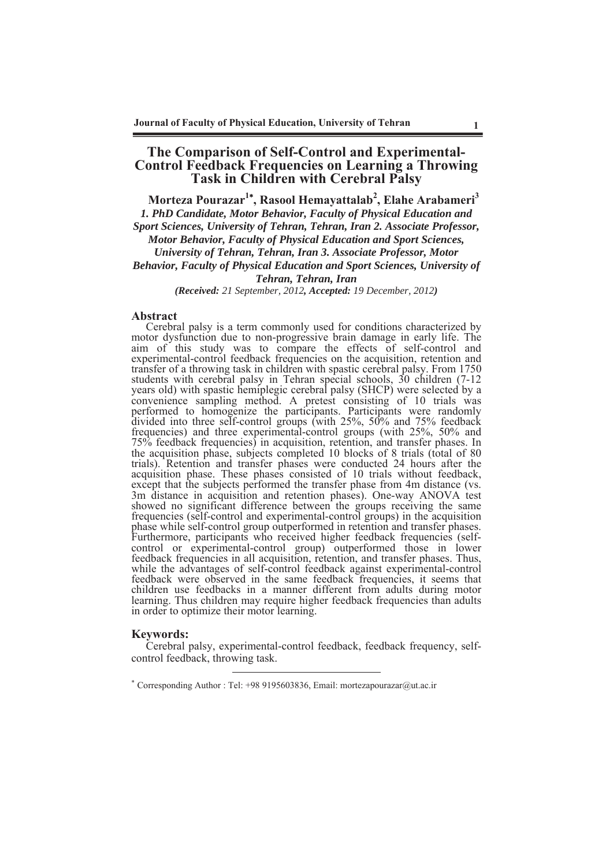## **The Comparison of Self-Control and Experimental-Control Feedback Frequencies on Learning a Throwing Task in Children with Cerebral Palsy**

Morteza Pourazar<sup>1\*</sup>, Rasool Hemayattalab<sup>2</sup>, Elahe Arabameri<sup>3</sup> *1. PhD Candidate, Motor Behavior, Faculty of Physical Education and Sport Sciences, University of Tehran, Tehran, Iran 2. Associate Professor, Motor Behavior, Faculty of Physical Education and Sport Sciences, University of Tehran, Tehran, Iran 3. Associate Professor, Motor Behavior, Faculty of Physical Education and Sport Sciences, University of Tehran, Tehran, Iran* 

*(Received: 21 September, 2012, Accepted: 19 December, 2012)*

#### **Abstract**

Cerebral palsy is a term commonly used for conditions characterized by motor dysfunction due to non-progressive brain damage in early life. The aim of this study was to compare the effects of self-control and experimental-control feedback frequencies on the acquisition, retention and transfer of a throwing task in children with spastic cerebral palsy. From 1750 students with cerebral palsy in Tehran special schools, 30 children (7-12 years old) with spastic hemiplegic cerebral palsy (SHCP) were selected by a convenience sampling method. A pretest consisting of 10 trials was performed to homogenize the participants. Participants were randomly divided into three self-control groups (with 25%, 50% and 75% feedback frequencies) and three experimental-control groups (with 25%, 50% and 75% feedback frequencies) in acquisition, retention, and transfer phases. In the acquisition phase, subjects completed 10 blocks of 8 trials (total of 80 trials). Retention and transfer phases were conducted 24 hours after the acquisition phase. These phases consisted of 10 trials without feedback, except that the subjects performed the transfer phase from 4m distance (vs. 3m distance in acquisition and retention phases). One-way ANOVA test showed no significant difference between the groups receiving the same frequencies (self-control and experimental-control groups) in the acquisition phase while self-control group outperformed in retention and transfer phases. Furthermore, participants who received higher feedback frequencies (selfcontrol or experimental-control group) outperformed those in lower feedback frequencies in all acquisition, retention, and transfer phases. Thus, while the advantages of self-control feedback against experimental-control feedback were observed in the same feedback frequencies, it seems that children use feedbacks in a manner different from adults during motor learning. Thus children may require higher feedback frequencies than adults in order to optimize their motor learning.

#### **Keywords:**

Cerebral palsy, experimental-control feedback, feedback frequency, selfcontrol feedback, throwing task.

<sup>\*</sup> Corresponding Author : Tel: +98 9195603836, Email: mortezapourazar@ut.ac.ir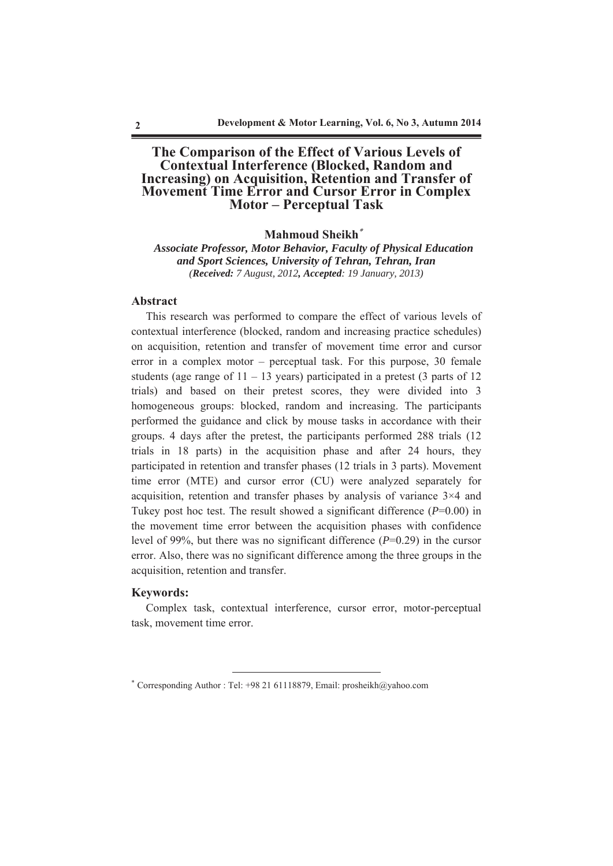# **The Comparison of the Effect of Various Levels of Contextual Interference (Blocked, Random and Increasing) on Acquisition, Retention and Transfer of Movement Time Error and Cursor Error in Complex Motor** – Perceptual Task

#### **Mahmoud Sheikh<sup>\*</sup>**

*Associate Professor, Motor Behavior, Faculty of Physical Education and Sport Sciences, University of Tehran, Tehran, Iran (Received: 7 August, 2012, Accepted: 19 January, 2013)* 

#### **Abstract**

This research was performed to compare the effect of various levels of contextual interference (blocked, random and increasing practice schedules) on acquisition, retention and transfer of movement time error and cursor error in a complex motor – perceptual task. For this purpose, 30 female students (age range of  $11 - 13$  years) participated in a pretest (3 parts of 12 trials) and based on their pretest scores, they were divided into 3 homogeneous groups: blocked, random and increasing. The participants performed the guidance and click by mouse tasks in accordance with their groups. 4 days after the pretest, the participants performed 288 trials (12 trials in 18 parts) in the acquisition phase and after 24 hours, they participated in retention and transfer phases (12 trials in 3 parts). Movement time error (MTE) and cursor error (CU) were analyzed separately for acquisition, retention and transfer phases by analysis of variance 3×4 and Tukey post hoc test. The result showed a significant difference (*P*=0.00) in the movement time error between the acquisition phases with confidence level of 99%, but there was no significant difference (*P*=0.29) in the cursor error. Also, there was no significant difference among the three groups in the acquisition, retention and transfer.

#### **Keywords:**

Complex task, contextual interference, cursor error, motor-perceptual task, movement time error.

<sup>\*</sup> Corresponding Author : Tel: +98 21 61118879, Email: prosheikh@yahoo.com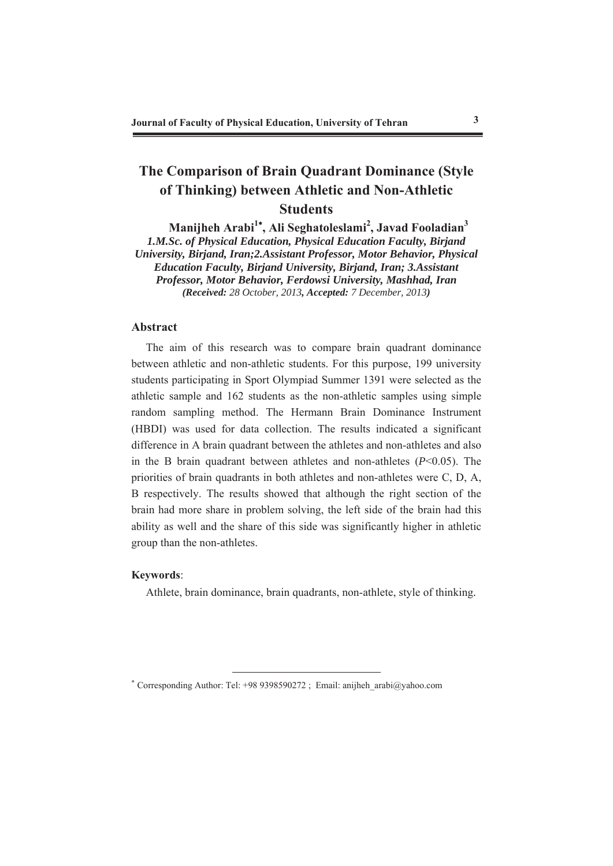# **The Comparison of Brain Quadrant Dominance (Style** of Thinking) between Athletic and Non-Athletic **Students**

 $\mathbf{M}$ anijheh Arabi<sup>1</sup>\*, Ali Seghatoleslami<sup>2</sup>, Javad Fooladian<sup>3</sup> *1.M.Sc. of Physical Education, Physical Education Faculty, Birjand University, Birjand, Iran;2.Assistant Professor, Motor Behavior, Physical Education Faculty, Birjand University, Birjand, Iran; 3.Assistant Professor, Motor Behavior, Ferdowsi University, Mashhad, Iran (Received: 28 October, 2013, Accepted: 7 December, 2013)*

### **Abstract**

The aim of this research was to compare brain quadrant dominance between athletic and non-athletic students. For this purpose, 199 university students participating in Sport Olympiad Summer 1391 were selected as the athletic sample and 162 students as the non-athletic samples using simple random sampling method. The Hermann Brain Dominance Instrument (HBDI) was used for data collection. The results indicated a significant difference in A brain quadrant between the athletes and non-athletes and also in the B brain quadrant between athletes and non-athletes (*P*<0.05). The priorities of brain quadrants in both athletes and non-athletes were C, D, A, B respectively. The results showed that although the right section of the brain had more share in problem solving, the left side of the brain had this ability as well and the share of this side was significantly higher in athletic group than the non-athletes.

#### **Keywords:**

Athlete, brain dominance, brain quadrants, non-athlete, style of thinking.

<sup>\*</sup> Corresponding Author: Tel: +98 9398590272 ; Email: anijheh\_arabi@yahoo.com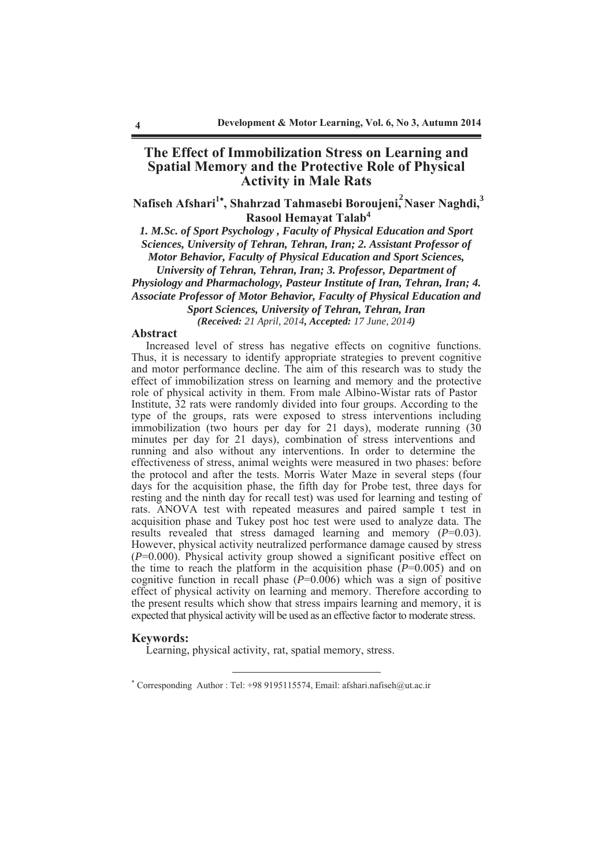# **The Effect of Immobilization Stress on Learning and Spatial Memory and the Protective Role of Physical Activity in Male Rats**

 $N$ afiseh Afshari<sup>1\*</sup>, Shahrzad Tahmasebi Boroujeni,<sup>2</sup>Naser Naghdi,<sup>3</sup> **Rasool Hemayat Talab<sup>4</sup>** 

*1. M.Sc. of Sport Psychology , Faculty of Physical Education and Sport Sciences, University of Tehran, Tehran, Iran; 2. Assistant Professor of Motor Behavior, Faculty of Physical Education and Sport Sciences, University of Tehran, Tehran, Iran; 3. Professor, Department of Physiology and Pharmachology, Pasteur Institute of Iran, Tehran, Iran; 4. Associate Professor of Motor Behavior, Faculty of Physical Education and* 

*Sport Sciences, University of Tehran, Tehran, Iran (Received: 21 April, 2014, Accepted: 17 June, 2014)*

#### **Abstract**

Increased level of stress has negative effects on cognitive functions. Thus, it is necessary to identify appropriate strategies to prevent cognitive and motor performance decline. The aim of this research was to study the effect of immobilization stress on learning and memory and the protective role of physical activity in them. From male Albino-Wistar rats of Pastor Institute, 32 rats were randomly divided into four groups. According to the type of the groups, rats were exposed to stress interventions including immobilization (two hours per day for 21 days), moderate running (30 minutes per day for 21 days), combination of stress interventions and running and also without any interventions. In order to determine the effectiveness of stress, animal weights were measured in two phases: before the protocol and after the tests. Morris Water Maze in several steps (four days for the acquisition phase, the fifth day for Probe test, three days for resting and the ninth day for recall test) was used for learning and testing of rats. ANOVA test with repeated measures and paired sample t test in acquisition phase and Tukey post hoc test were used to analyze data. The results revealed that stress damaged learning and memory (*P*=0.03). However, physical activity neutralized performance damage caused by stress (*P*=0.000). Physical activity group showed a significant positive effect on the time to reach the platform in the acquisition phase  $(P=0.005)$  and on cognitive function in recall phase (*P*=0.006) which was a sign of positive effect of physical activity on learning and memory. Therefore according to the present results which show that stress impairs learning and memory, it is expected that physical activity will be used as an effective factor to moderate stress.

#### **Keywords:**

Learning, physical activity, rat, spatial memory, stress.

 Corresponding Author : Tel: +98 9195115574, Email: afshari.nafiseh@ut.ac.ir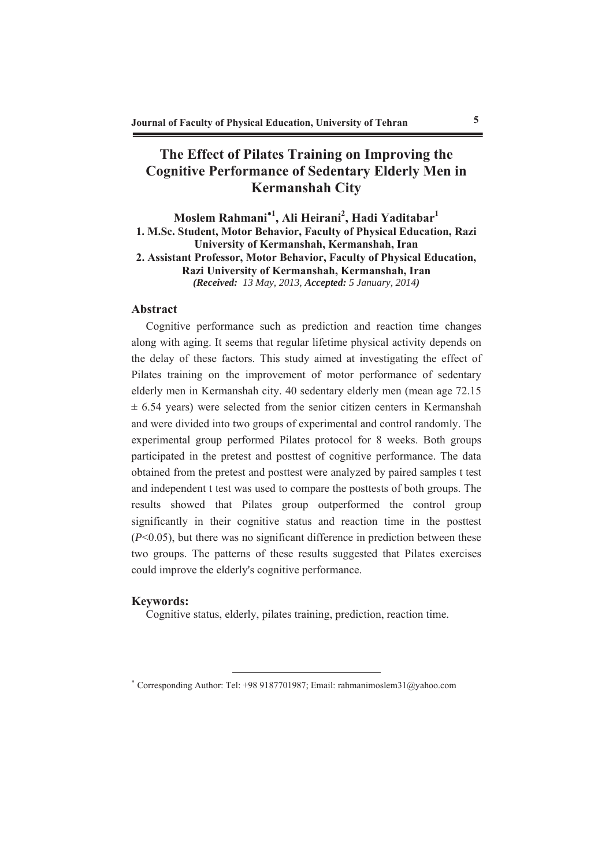# **The Effect of Pilates Training on Improving the** Cognitive Performance of Sedentary Elderly Men in **Kermanshah City**

# $\mathbf{M}$ oslem Rahmani $^{\ast1}\!,$  Ali Heirani $^2\!,$  Hadi Yaditabar $^1$ **1. M.Sc. Student, Motor Behavior, Faculty of Physical Education, Razi University of Kermanshah, Kermanshah, Iran** 2. Assistant Professor, Motor Behavior, Faculty of Physical Education, **Razi University of Kermanshah, Kermanshah, Iran** *(Received: 13 May, 2013, Accepted: 5 January, 2014)*

# Abstract

Cognitive performance such as prediction and reaction time changes along with aging. It seems that regular lifetime physical activity depends on the delay of these factors. This study aimed at investigating the effect of Pilates training on the improvement of motor performance of sedentary elderly men in Kermanshah city. 40 sedentary elderly men (mean age 72.15  $\pm$  6.54 years) were selected from the senior citizen centers in Kermanshah and were divided into two groups of experimental and control randomly. The experimental group performed Pilates protocol for 8 weeks. Both groups participated in the pretest and posttest of cognitive performance. The data obtained from the pretest and posttest were analyzed by paired samples t test and independent t test was used to compare the posttests of both groups. The results showed that Pilates group outperformed the control group significantly in their cognitive status and reaction time in the posttest  $(P<0.05)$ , but there was no significant difference in prediction between these two groups. The patterns of these results suggested that Pilates exercises could improve the elderly's cognitive performance.

#### **Keywords:**

Cognitive status, elderly, pilates training, prediction, reaction time.

 Corresponding Author: Tel: +98 9187701987; Email: rahmanimoslem31@yahoo.com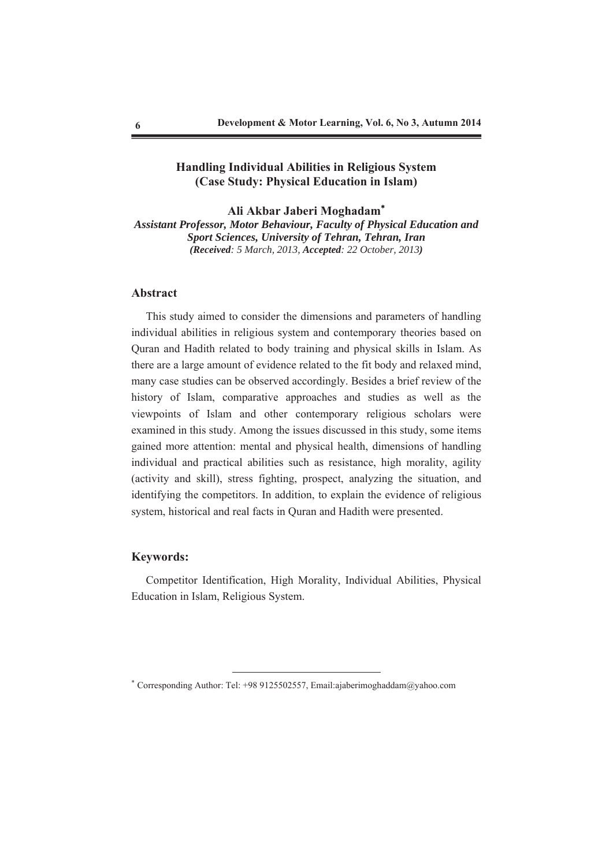# **Handling Individual Abilities in Religious System (Case Study: Physical Education in Islam)**

Ali Akbar Jaberi Moghadam<sup>\*</sup> *Assistant Professor, Motor Behaviour, Faculty of Physical Education and Sport Sciences, University of Tehran, Tehran, Iran (Received: 5 March, 2013, Accepted: 22 October, 2013)*

#### **Abstract**

This study aimed to consider the dimensions and parameters of handling individual abilities in religious system and contemporary theories based on Quran and Hadith related to body training and physical skills in Islam. As there are a large amount of evidence related to the fit body and relaxed mind, many case studies can be observed accordingly. Besides a brief review of the history of Islam, comparative approaches and studies as well as the viewpoints of Islam and other contemporary religious scholars were examined in this study. Among the issues discussed in this study, some items gained more attention: mental and physical health, dimensions of handling individual and practical abilities such as resistance, high morality, agility (activity and skill), stress fighting, prospect, analyzing the situation, and identifying the competitors. In addition, to explain the evidence of religious system, historical and real facts in Quran and Hadith were presented.

### **Keywords:**

Competitor Identification, High Morality, Individual Abilities, Physical Education in Islam, Religious System.

 Corresponding Author: Tel: +98 9125502557, Email:ajaberimoghaddam@yahoo.com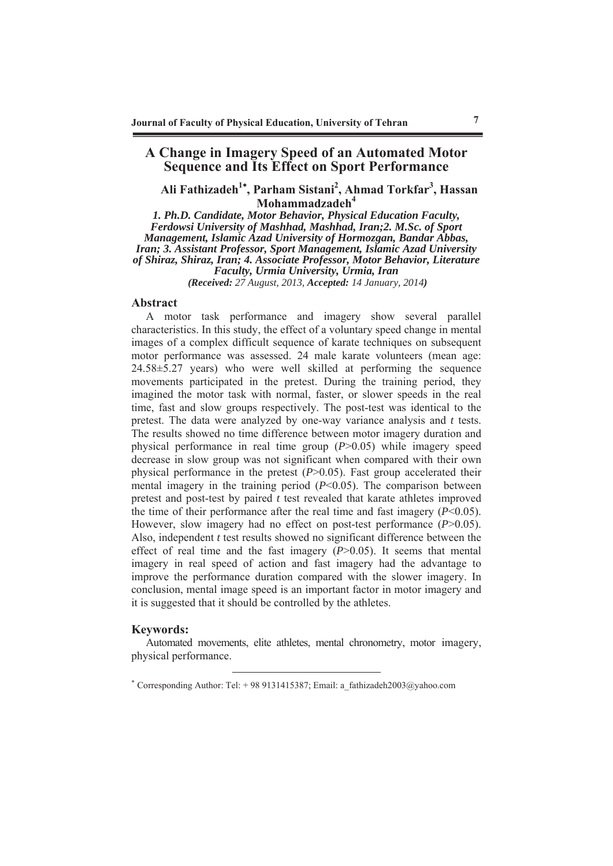# **A Change in Imagery Speed of an Automated Motor Sequence and Its Effect on Sport Performance**

# Ali Fathizadeh<sup>1\*</sup>, Parham Sistani<sup>2</sup>, Ahmad Torkfar<sup>3</sup>, Hassan Mohammadzadeh<sup>4</sup>

*1. Ph.D. Candidate, Motor Behavior, Physical Education Faculty, Ferdowsi University of Mashhad, Mashhad, Iran;2. M.Sc. of Sport Management, Islamic Azad University of Hormozgan, Bandar Abbas, Iran; 3. Assistant Professor, Sport Management, Islamic Azad University of Shiraz, Shiraz, Iran; 4. Associate Professor, Motor Behavior, Literature Faculty, Urmia University, Urmia, Iran (Received: 27 August, 2013, Accepted: 14 January, 2014)*

#### Abstract

A motor task performance and imagery show several parallel characteristics. In this study, the effect of a voluntary speed change in mental images of a complex difficult sequence of karate techniques on subsequent motor performance was assessed. 24 male karate volunteers (mean age: 24.58±5.27 years) who were well skilled at performing the sequence movements participated in the pretest. During the training period, they imagined the motor task with normal, faster, or slower speeds in the real time, fast and slow groups respectively. The post-test was identical to the pretest. The data were analyzed by one-way variance analysis and *t* tests. The results showed no time difference between motor imagery duration and physical performance in real time group (*P*>0.05) while imagery speed decrease in slow group was not significant when compared with their own physical performance in the pretest (*P*>0.05). Fast group accelerated their mental imagery in the training period (*P*<0.05). The comparison between pretest and post-test by paired *t* test revealed that karate athletes improved the time of their performance after the real time and fast imagery  $(P<0.05)$ . However, slow imagery had no effect on post-test performance (*P*>0.05). Also, independent *t* test results showed no significant difference between the effect of real time and the fast imagery (*P*>0.05). It seems that mental imagery in real speed of action and fast imagery had the advantage to improve the performance duration compared with the slower imagery. In conclusion, mental image speed is an important factor in motor imagery and it is suggested that it should be controlled by the athletes.

#### **Keywords:**

Automated movements, elite athletes, mental chronometry, motor imagery, physical performance.

 Corresponding Author: Tel: + 98 9131415387; Email: a\_fathizadeh2003@yahoo.com